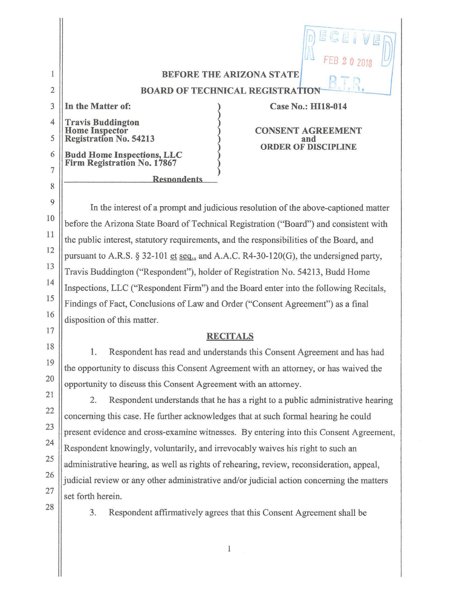|                |                                                                  | DECEIVE<br>44<br>FEB 2 0 2018     |  |
|----------------|------------------------------------------------------------------|-----------------------------------|--|
|                | <b>BEFORE THE ARIZONA STATE</b>                                  |                                   |  |
| $\overline{2}$ | <b>BOARD OF TECHNICAL REGISTRATION</b>                           |                                   |  |
| 3              | In the Matter of:                                                | Case No.: HI18-014                |  |
| 4              | Travis Buddington<br>Home Inspector<br>Registration No. 54213    | <b>CONSENT AGREEMENT</b>          |  |
| 5              |                                                                  | and<br><b>ORDER OF DISCIPLINE</b> |  |
| 6              | <b>Budd Home Inspections, LLC</b><br>Firm Registration No. 17867 |                                   |  |
| 7              |                                                                  |                                   |  |
| 8              | <b>Respondents</b>                                               |                                   |  |

In the interest of a prompt and judicious resolution of the above-captioned matter before the Arizona State Board of Technical Registration ("Board") and consistent with the public interest, statutory requirements, and the responsibilities of the Board, and pursuant to A.R.S. § 32-101 et seq., and A.A.C. R4-30-120(G), the undersigned party, Travis Buddington ("Respondent"), holder of Registration No. 54213, Budd Home Inspections, LLC ("Respondent Firm") and the Board enter into the following Recitals, Findings of Fact, Conclusions of Law and Order ("Consent Agreement") as a final disposition of this matter.

9

 $\mathbf{H}$ 

10

11

12

13

14

15

16

17

18

19

20

21

22

23

24

25

26

27

28

## **RECITALS**

**1.** Respondent has read and understands this Consent Agreement and has had the opportunity to discuss this Consent Agreement with an attorney, or has waived the opportunity to discuss this Consent Agreement with an attorney.

2. Respondent understands that he has a right to a public administrative hearing concerning this case. He further acknowledges that at such formal hearing he could present evidence and cross-examine witnesses. By entering into this Consent Agreement, Respondent knowingly, voluntarily, and irrevocably waives his right to such an administrative hearing, as well as rights of rehearing, review, reconsideration, appeal, judicial review or any other administrative and/or judicial action concerning the matters set forth herein.

3. Respondent affirmatively agrees that this Consent Agreement shall be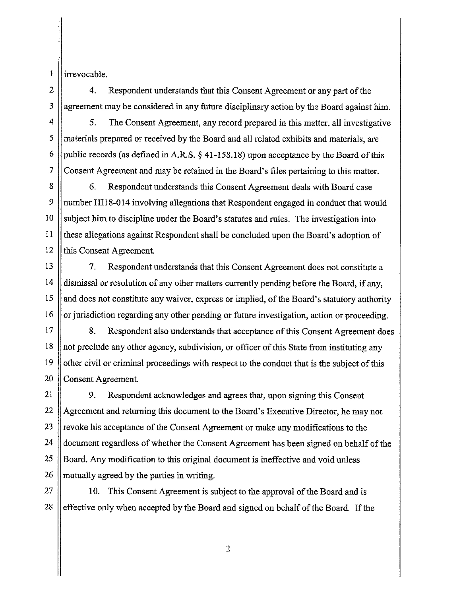l irrevocable.

2

3

9

10

11

12

4. Respondent understands that this Consent Agreement or any part of the agreement may be considered in any future disciplinary action by the Board against him.

4 5 6 7 5. The Consent Agreement, any record prepared in this matter, all investigative materials prepared or received by the Board and all related exhibits and materials, are public records (as defined in A.RS.§ [41-158.18](https://41-158.18)) upon acceptance by the Board of this Consent Agreement and may be retained in the Board's files pertaining to this matter.

8 6. Respondent understands this Consent Agreement deals with Board case number HI18-014 involving allegations that Respondent engaged in conduct that would subject him to discipline under the Board's statutes and rules. The investigation into these allegations against Respondent shall be concluded upon the Board's adoption of this Consent Agreement.

13 14 15 16 7. Respondent understands that this Consent Agreement does not constitute a dismissal or resolution of any other matters currently pending before the Board, if any, and does not constitute any waiver, express or implied, of the Board's statutory authority or jurisdiction regarding any other pending or future investigation, action or proceeding.

17 18 19 20 8. Respondent also understands that acceptance of this Consent Agreement does not preclude any other agency, subdivision, or officer of this State from instituting any other civil or criminal proceedings with respect to the conduct that is the subject of this Consent Agreement.

21 22 23 24 25 26 9. Respondent acknowledges and agrees that, upon signing this Consent Agreement and returning this document to the Board's Executive Director, he may not revoke his acceptance of the Consent Agreement or make any modifications to the document regardless of whether the Consent Agreement has been signed on behalf of the Board. Any modification to this original document is ineffective and void unless mutually agreed by the parties in writing.

27 28 10. This Consent Agreement is subject to the approval of the Board and is effective only when accepted by the Board and signed on behalf of the Board. If the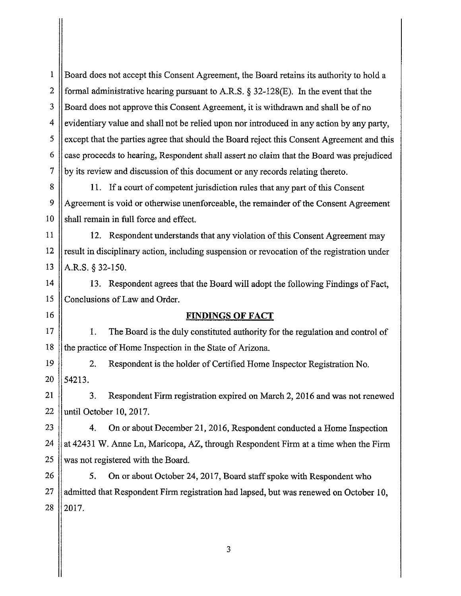1 2 3 4 5 6 7 Board does not accept this Consent Agreement, the Board retains its authority to hold a formal administrative hearing pursuant to A.R.S.  $\S$  32-128(E). In the event that the Board does not approve this Consent Agreement, it is withdrawn and shall be of no evidentiary value and shall not be relied upon nor introduced in any action by any party, except that the parties agree that should the Board reject this Consent Agreement and this case proceeds to hearing, Respondent shall assert no claim that the Board was prejudiced by its review and discussion of this document or any records relating thereto.

8 9 10 11. If a court of competent jurisdiction rules that any part of this Consent Agreement is void or otherwise unenforceable, the remainder of the Consent Agreement shall remain in full force and effect.

11 12 13 12. Respondent understands that any violation of this Consent Agreement may result in disciplinary action, including suspension or revocation of the registration under A.R.S. § 32-150.

14 15 13. Respondent agrees that the Board will adopt the following Findings of Fact, Conclusions of Law and Order.

16

## **FINDINGS OF FACT**

17 18 1. The Board is the duly constituted authority for the regulation and control of the practice of Home Inspection in the State of Arizona.

19 20 2. Respondent is the holder of Certified Home Inspector Registration No. 54213.

21 22 3. Respondent Firm registration expired on March 2, 2016 and was not renewed until October 10, 2017.

23 24 25 4. On or about December 21, 2016, Respondent conducted a Home Inspection at 42431 W. Anne Ln, Maricopa, AZ, through Respondent Firm at a time when the Firm was not registered with the Board.

26 27 28 5. On or about October 24, 2017, Board staff spoke with Respondent who admitted that Respondent Firm registration had lapsed, but was renewed on October 10, 2017.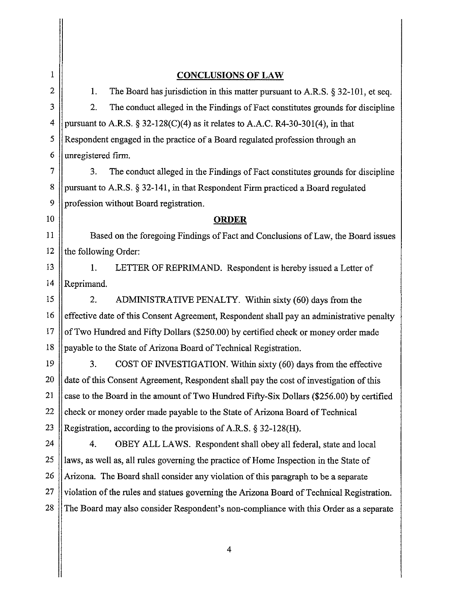| 1              |                                                                                          | <b>CONCLUSIONS OF LAW</b>                                                                 |  |
|----------------|------------------------------------------------------------------------------------------|-------------------------------------------------------------------------------------------|--|
| $\overline{2}$ | 1.                                                                                       | The Board has jurisdiction in this matter pursuant to A.R.S. § 32-101, et seq.            |  |
| 3              | 2.                                                                                       | The conduct alleged in the Findings of Fact constitutes grounds for discipline            |  |
| $\overline{4}$ |                                                                                          | pursuant to A.R.S. § 32-128(C)(4) as it relates to A.A.C. R4-30-301(4), in that           |  |
| 5              | Respondent engaged in the practice of a Board regulated profession through an            |                                                                                           |  |
| 6              | unregistered firm.                                                                       |                                                                                           |  |
| 7              | 3.                                                                                       | The conduct alleged in the Findings of Fact constitutes grounds for discipline            |  |
| 8              | pursuant to A.R.S. § 32-141, in that Respondent Firm practiced a Board regulated         |                                                                                           |  |
| 9              | profession without Board registration.                                                   |                                                                                           |  |
| 10             | <b>ORDER</b>                                                                             |                                                                                           |  |
| 11             |                                                                                          | Based on the foregoing Findings of Fact and Conclusions of Law, the Board issues          |  |
| 12             | the following Order:                                                                     |                                                                                           |  |
| 13             | 1.                                                                                       | LETTER OF REPRIMAND. Respondent is hereby issued a Letter of                              |  |
| 14             | Reprimand.                                                                               |                                                                                           |  |
| 15             | 2.                                                                                       | ADMINISTRATIVE PENALTY. Within sixty (60) days from the                                   |  |
| 16             |                                                                                          | effective date of this Consent Agreement, Respondent shall pay an administrative penalty  |  |
| 17             | of Two Hundred and Fifty Dollars (\$250.00) by certified check or money order made       |                                                                                           |  |
| 18             | payable to the State of Arizona Board of Technical Registration.                         |                                                                                           |  |
| 19             | 3.                                                                                       | COST OF INVESTIGATION. Within sixty (60) days from the effective                          |  |
| 20             |                                                                                          | date of this Consent Agreement, Respondent shall pay the cost of investigation of this    |  |
| 21             | case to the Board in the amount of Two Hundred Fifty-Six Dollars (\$256.00) by certified |                                                                                           |  |
| 22             |                                                                                          | check or money order made payable to the State of Arizona Board of Technical              |  |
| 23             |                                                                                          | Registration, according to the provisions of A.R.S. § 32-128(H).                          |  |
| 24             | 4.                                                                                       | OBEY ALL LAWS. Respondent shall obey all federal, state and local                         |  |
| 25             |                                                                                          | laws, as well as, all rules governing the practice of Home Inspection in the State of     |  |
| 26             |                                                                                          | Arizona. The Board shall consider any violation of this paragraph to be a separate        |  |
| 27             |                                                                                          | violation of the rules and statues governing the Arizona Board of Technical Registration. |  |
| 28             |                                                                                          | The Board may also consider Respondent's non-compliance with this Order as a separate     |  |
|                |                                                                                          |                                                                                           |  |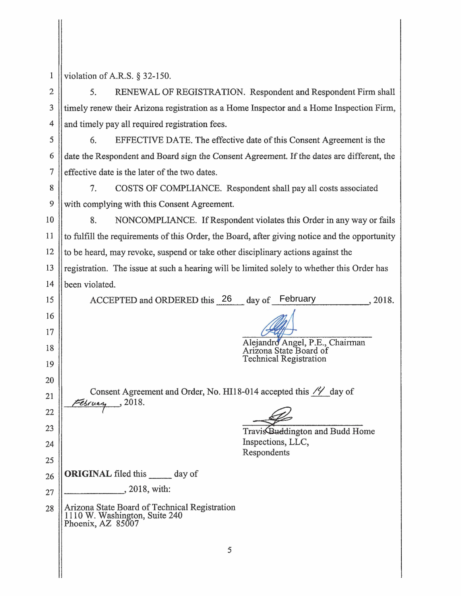| 1  | violation of A.R.S. $\S$ 32-150.                                                                    |  |  |
|----|-----------------------------------------------------------------------------------------------------|--|--|
| 2  | RENEWAL OF REGISTRATION. Respondent and Respondent Firm shall<br>5.                                 |  |  |
| 3  | timely renew their Arizona registration as a Home Inspector and a Home Inspection Firm,             |  |  |
| 4  | and timely pay all required registration fees.                                                      |  |  |
| 5  | EFFECTIVE DATE. The effective date of this Consent Agreement is the<br>6.                           |  |  |
| 6  | date the Respondent and Board sign the Consent Agreement. If the dates are different, the           |  |  |
| 7  | effective date is the later of the two dates.                                                       |  |  |
| 8  | 7.<br>COSTS OF COMPLIANCE. Respondent shall pay all costs associated                                |  |  |
| 9  | with complying with this Consent Agreement.                                                         |  |  |
| 10 | 8.<br>NONCOMPLIANCE. If Respondent violates this Order in any way or fails                          |  |  |
| 11 | to fulfill the requirements of this Order, the Board, after giving notice and the opportunity       |  |  |
| 12 | to be heard, may revoke, suspend or take other disciplinary actions against the                     |  |  |
| 13 | registration. The issue at such a hearing will be limited solely to whether this Order has          |  |  |
| 14 | been violated.                                                                                      |  |  |
| 15 | day of February<br>ACCEPTED and ORDERED this 26<br>, 2018.                                          |  |  |
| 16 |                                                                                                     |  |  |
| 17 |                                                                                                     |  |  |
| 18 | Alejandro Angel, P.E., Chairman<br>Arizona State Board of<br><b>Technical Registration</b>          |  |  |
| 19 |                                                                                                     |  |  |
| 20 |                                                                                                     |  |  |
| 21 | Consent Agreement and Order, No. HI18-014 accepted this // day of<br>$E$ <i>sruan</i> , 2018.       |  |  |
| 22 |                                                                                                     |  |  |
| 23 | Travis Buddington and Budd Home                                                                     |  |  |
| 24 | Inspections, LLC,<br>Respondents                                                                    |  |  |
| 25 |                                                                                                     |  |  |
| 26 | <b>ORIGINAL</b> filed this day of                                                                   |  |  |
| 27 | $, 2018$ , with:                                                                                    |  |  |
| 28 | Arizona State Board of Technical Registration<br>1110 W. Washington, Suite 240<br>Phoenix, AZ 85007 |  |  |
|    | 5                                                                                                   |  |  |